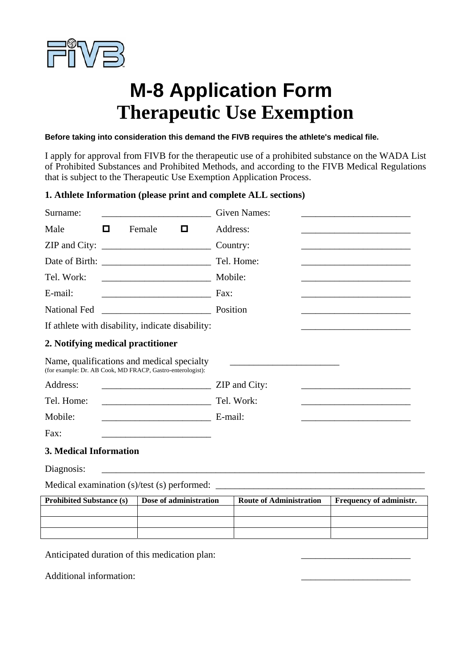

## **M-8 Application Form Therapeutic Use Exemption**

**Before taking into consideration this demand the FIVB requires the athlete's medical file.** 

I apply for approval from FIVB for the therapeutic use of a prohibited substance on the WADA List of Prohibited Substances and Prohibited Methods, and according to the FIVB Medical Regulations that is subject to the Therapeutic Use Exemption Application Process.

## **1. Athlete Information (please print and complete ALL sections)**

| Surname:                                                                                                                                      | <b>Given Names:</b>                                                                                                               |  |  |
|-----------------------------------------------------------------------------------------------------------------------------------------------|-----------------------------------------------------------------------------------------------------------------------------------|--|--|
| $\Box$<br>Male<br>о<br>Female                                                                                                                 | Address:<br>the control of the control of the control of the control of the control of the control of                             |  |  |
| ZIP and City:                                                                                                                                 | Country:                                                                                                                          |  |  |
|                                                                                                                                               |                                                                                                                                   |  |  |
| Tel. Work:                                                                                                                                    | Mobile:                                                                                                                           |  |  |
| E-mail:                                                                                                                                       | Fax:                                                                                                                              |  |  |
| <b>National Fed</b>                                                                                                                           | Position<br><u> 1989 - Johann Barn, mars an t-Amerikaansk ferske område og de formanner og de formanner og de formanner og de</u> |  |  |
| If athlete with disability, indicate disability:<br>the control of the control of the control of the control of the control of the control of |                                                                                                                                   |  |  |
| 2. Notifying medical practitioner                                                                                                             |                                                                                                                                   |  |  |
| Name, qualifications and medical specialty<br>(for example: Dr. AB Cook, MD FRACP, Gastro-enterologist):                                      |                                                                                                                                   |  |  |
| Address:                                                                                                                                      | ZIP and City:                                                                                                                     |  |  |
| Tel. Home:<br><u> 1989 - Johann John Hermann, fransk politik (d. 1989)</u>                                                                    | Tel. Work:<br>the control of the control of the control of the control of the control of the control of                           |  |  |
| Mobile:                                                                                                                                       | E-mail:                                                                                                                           |  |  |
| Fax:<br>the control of the control of the control of the control of the control of                                                            |                                                                                                                                   |  |  |
| 3. Medical Information                                                                                                                        |                                                                                                                                   |  |  |
| Diagnosis:                                                                                                                                    |                                                                                                                                   |  |  |

Medical examination (s)/test (s) performed: \_\_\_\_\_\_\_\_\_\_\_\_\_\_\_\_\_\_\_\_\_\_\_\_\_\_\_\_\_\_\_\_\_\_\_\_\_\_\_\_\_\_\_\_

| <b>Prohibited Substance (s)</b> | Dose of administration | <b>Route of Administration</b> | <b>Frequency of administr.</b> |
|---------------------------------|------------------------|--------------------------------|--------------------------------|
|                                 |                        |                                |                                |
|                                 |                        |                                |                                |
|                                 |                        |                                |                                |

Anticipated duration of this medication plan:

Additional information: